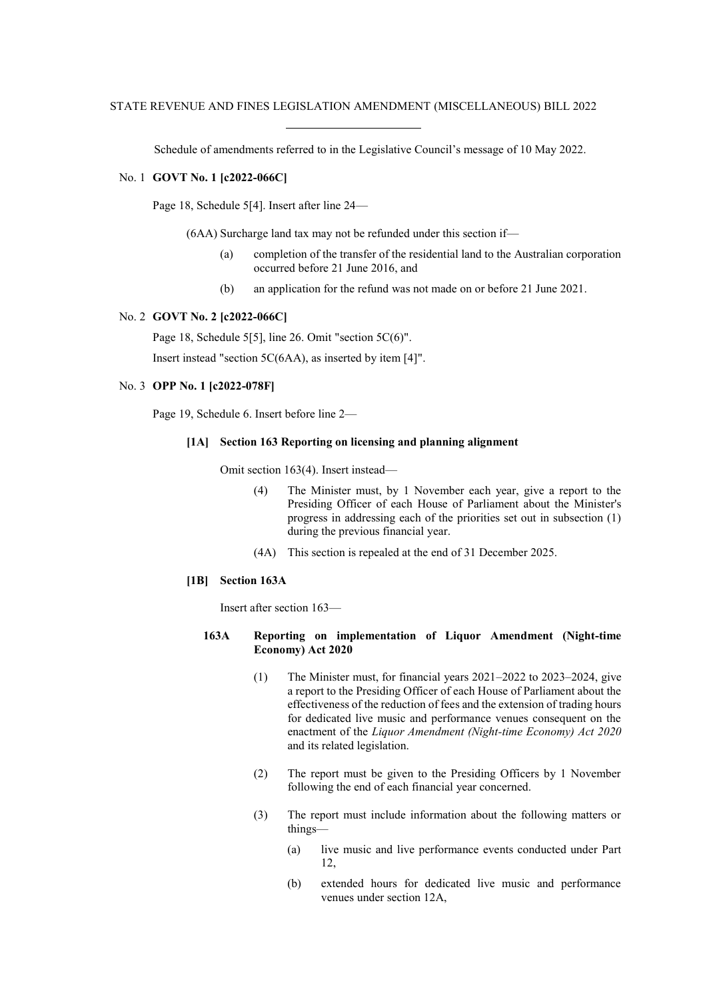Schedule of amendments referred to in the Legislative Council's message of 10 May 2022.

### No. 1 **GOVT No. 1 [c2022-066C]**

Page 18, Schedule 5[4]. Insert after line 24—

(6AA) Surcharge land tax may not be refunded under this section if—

- (a) completion of the transfer of the residential land to the Australian corporation occurred before 21 June 2016, and
- (b) an application for the refund was not made on or before 21 June 2021.

#### No. 2 **GOVT No. 2 [c2022-066C]**

Page 18, Schedule 5[5], line 26. Omit "section 5C(6)".

Insert instead "section 5C(6AA), as inserted by item [4]".

## No. 3 **OPP No. 1 [c2022-078F]**

Page 19, Schedule 6. Insert before line 2—

#### **[1A] Section 163 Reporting on licensing and planning alignment**

Omit section 163(4). Insert instead—

- (4) The Minister must, by 1 November each year, give a report to the Presiding Officer of each House of Parliament about the Minister's progress in addressing each of the priorities set out in subsection (1) during the previous financial year.
- (4A) This section is repealed at the end of 31 December 2025.

#### **[1B] Section 163A**

Insert after section 163—

# **163A Reporting on implementation of Liquor Amendment (Night-time Economy) Act 2020**

- (1) The Minister must, for financial years 2021–2022 to 2023–2024, give a report to the Presiding Officer of each House of Parliament about the effectiveness of the reduction of fees and the extension of trading hours for dedicated live music and performance venues consequent on the enactment of the *Liquor Amendment (Night-time Economy) Act 2020* and its related legislation.
- (2) The report must be given to the Presiding Officers by 1 November following the end of each financial year concerned.
- (3) The report must include information about the following matters or things—
	- (a) live music and live performance events conducted under Part 12,
	- (b) extended hours for dedicated live music and performance venues under section 12A,